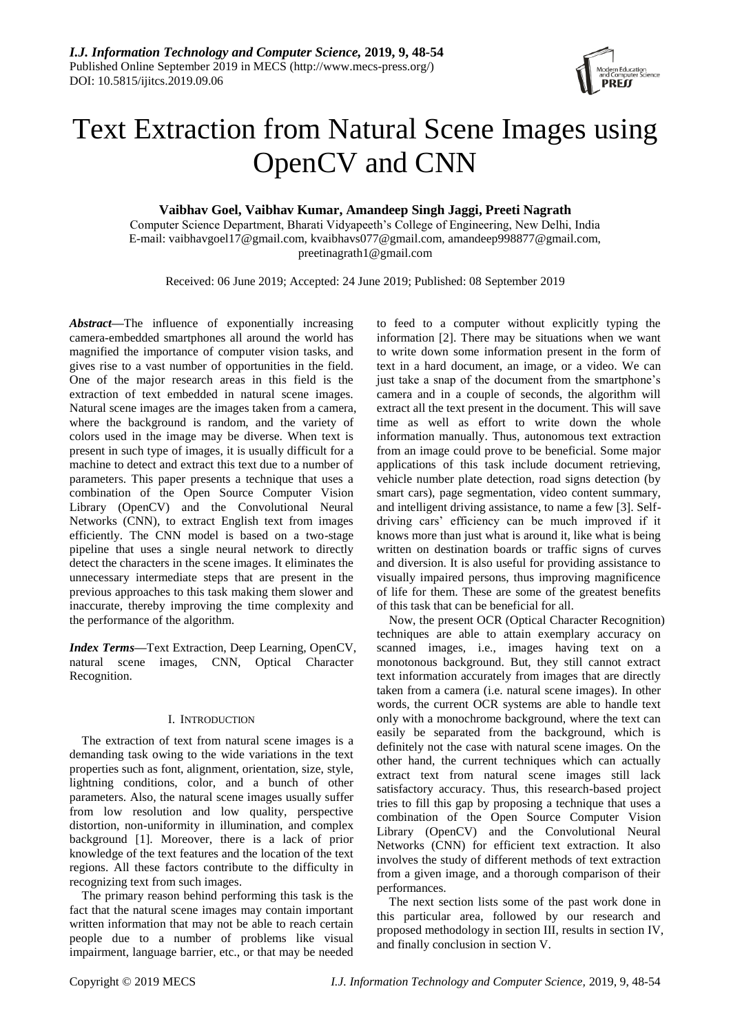

# Text Extraction from Natural Scene Images using OpenCV and CNN

## **Vaibhav Goel, Vaibhav Kumar, Amandeep Singh Jaggi, Preeti Nagrath**

Computer Science Department, Bharati Vidyapeeth's College of Engineering, New Delhi, India E-mail: vaibhavgoel17@gmail.com, kvaibhavs077@gmail.com, amandeep998877@gmail.com, preetinagrath1@gmail.com

Received: 06 June 2019; Accepted: 24 June 2019; Published: 08 September 2019

*Abstract***—**The influence of exponentially increasing camera-embedded smartphones all around the world has magnified the importance of computer vision tasks, and gives rise to a vast number of opportunities in the field. One of the major research areas in this field is the extraction of text embedded in natural scene images. Natural scene images are the images taken from a camera, where the background is random, and the variety of colors used in the image may be diverse. When text is present in such type of images, it is usually difficult for a machine to detect and extract this text due to a number of parameters. This paper presents a technique that uses a combination of the Open Source Computer Vision Library (OpenCV) and the Convolutional Neural Networks (CNN), to extract English text from images efficiently. The CNN model is based on a two-stage pipeline that uses a single neural network to directly detect the characters in the scene images. It eliminates the unnecessary intermediate steps that are present in the previous approaches to this task making them slower and inaccurate, thereby improving the time complexity and the performance of the algorithm.

*Index Terms***—**Text Extraction, Deep Learning, OpenCV, natural scene images, CNN, Optical Character Recognition.

### I. INTRODUCTION

The extraction of text from natural scene images is a demanding task owing to the wide variations in the text properties such as font, alignment, orientation, size, style, lightning conditions, color, and a bunch of other parameters. Also, the natural scene images usually suffer from low resolution and low quality, perspective distortion, non-uniformity in illumination, and complex background [1]. Moreover, there is a lack of prior knowledge of the text features and the location of the text regions. All these factors contribute to the difficulty in recognizing text from such images.

The primary reason behind performing this task is the fact that the natural scene images may contain important written information that may not be able to reach certain people due to a number of problems like visual impairment, language barrier, etc., or that may be needed

to feed to a computer without explicitly typing the information [2]. There may be situations when we want to write down some information present in the form of text in a hard document, an image, or a video. We can just take a snap of the document from the smartphone's camera and in a couple of seconds, the algorithm will extract all the text present in the document. This will save time as well as effort to write down the whole information manually. Thus, autonomous text extraction from an image could prove to be beneficial. Some major applications of this task include document retrieving, vehicle number plate detection, road signs detection (by smart cars), page segmentation, video content summary, and intelligent driving assistance, to name a few [3]. Selfdriving cars' efficiency can be much improved if it knows more than just what is around it, like what is being written on destination boards or traffic signs of curves and diversion. It is also useful for providing assistance to visually impaired persons, thus improving magnificence of life for them. These are some of the greatest benefits of this task that can be beneficial for all.

Now, the present OCR (Optical Character Recognition) techniques are able to attain exemplary accuracy on scanned images, i.e., images having text on a monotonous background. But, they still cannot extract text information accurately from images that are directly taken from a camera (i.e. natural scene images). In other words, the current OCR systems are able to handle text only with a monochrome background, where the text can easily be separated from the background, which is definitely not the case with natural scene images. On the other hand, the current techniques which can actually extract text from natural scene images still lack satisfactory accuracy. Thus, this research-based project tries to fill this gap by proposing a technique that uses a combination of the Open Source Computer Vision Library (OpenCV) and the Convolutional Neural Networks (CNN) for efficient text extraction. It also involves the study of different methods of text extraction from a given image, and a thorough comparison of their performances.

The next section lists some of the past work done in this particular area, followed by our research and proposed methodology in section III, results in section IV, and finally conclusion in section V.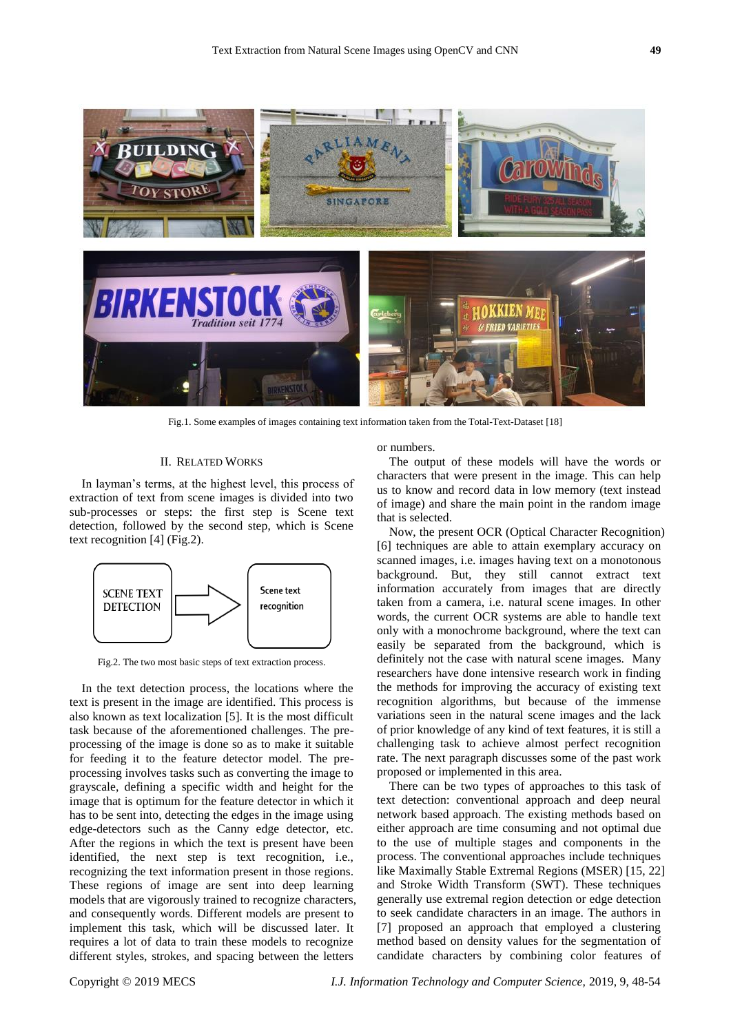

Fig.1. Some examples of images containing text information taken from the Total-Text-Dataset [18]

#### II. RELATED WORKS

In layman's terms, at the highest level, this process of extraction of text from scene images is divided into two sub-processes or steps: the first step is Scene text detection, followed by the second step, which is Scene text recognition [4] (Fig.2).



Fig.2. The two most basic steps of text extraction process.

In the text detection process, the locations where the text is present in the image are identified. This process is also known as text localization [5]. It is the most difficult task because of the aforementioned challenges. The preprocessing of the image is done so as to make it suitable for feeding it to the feature detector model. The preprocessing involves tasks such as converting the image to grayscale, defining a specific width and height for the image that is optimum for the feature detector in which it has to be sent into, detecting the edges in the image using edge-detectors such as the Canny edge detector, etc. After the regions in which the text is present have been identified, the next step is text recognition, i.e., recognizing the text information present in those regions. These regions of image are sent into deep learning models that are vigorously trained to recognize characters, and consequently words. Different models are present to implement this task, which will be discussed later. It requires a lot of data to train these models to recognize different styles, strokes, and spacing between the letters

or numbers.

The output of these models will have the words or characters that were present in the image. This can help us to know and record data in low memory (text instead of image) and share the main point in the random image that is selected.

Now, the present OCR (Optical Character Recognition) [6] techniques are able to attain exemplary accuracy on scanned images, i.e. images having text on a monotonous background. But, they still cannot extract text information accurately from images that are directly taken from a camera, i.e. natural scene images. In other words, the current OCR systems are able to handle text only with a monochrome background, where the text can easily be separated from the background, which is definitely not the case with natural scene images. Many researchers have done intensive research work in finding the methods for improving the accuracy of existing text recognition algorithms, but because of the immense variations seen in the natural scene images and the lack of prior knowledge of any kind of text features, it is still a challenging task to achieve almost perfect recognition rate. The next paragraph discusses some of the past work proposed or implemented in this area.

There can be two types of approaches to this task of text detection: conventional approach and deep neural network based approach. The existing methods based on either approach are time consuming and not optimal due to the use of multiple stages and components in the process. The conventional approaches include techniques like Maximally Stable Extremal Regions (MSER) [15, 22] and Stroke Width Transform (SWT). These techniques generally use extremal region detection or edge detection to seek candidate characters in an image. The authors in [7] proposed an approach that employed a clustering method based on density values for the segmentation of candidate characters by combining color features of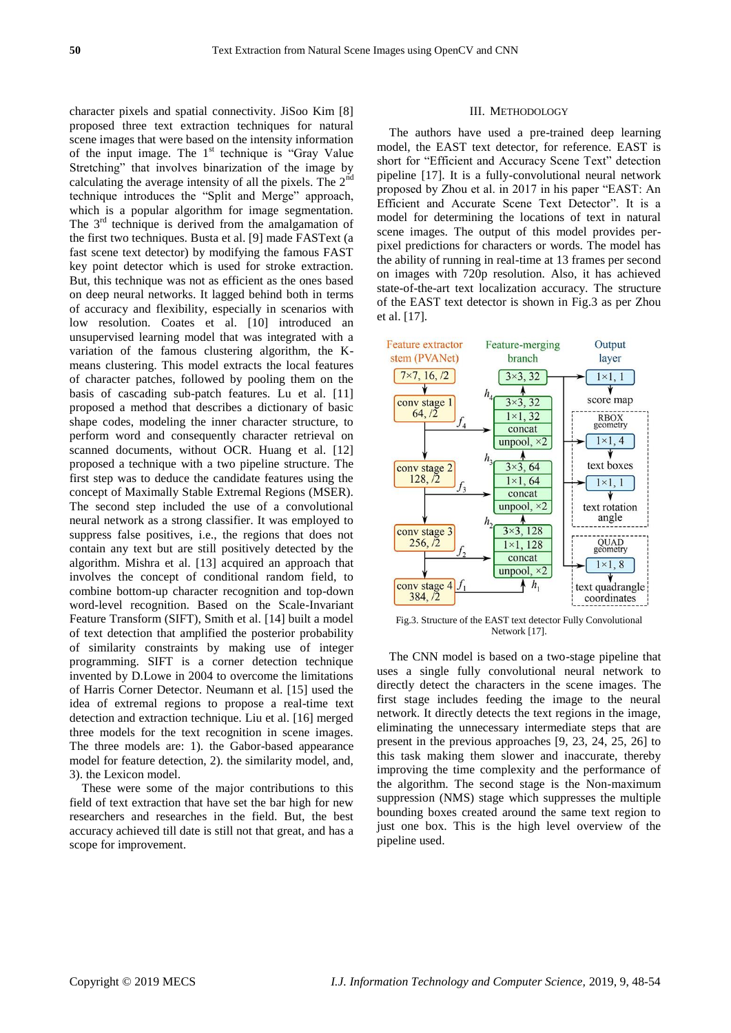character pixels and spatial connectivity. JiSoo Kim [8] proposed three text extraction techniques for natural scene images that were based on the intensity information of the input image. The  $1<sup>st</sup>$  technique is "Gray Value Stretching" that involves binarization of the image by calculating the average intensity of all the pixels. The  $2<sup>nd</sup>$ technique introduces the "Split and Merge" approach, which is a popular algorithm for image segmentation. The  $3<sup>rd</sup>$  technique is derived from the amalgamation of the first two techniques. Busta et al. [9] made FASText (a fast scene text detector) by modifying the famous FAST key point detector which is used for stroke extraction. But, this technique was not as efficient as the ones based on deep neural networks. It lagged behind both in terms of accuracy and flexibility, especially in scenarios with low resolution. Coates et al. [10] introduced an unsupervised learning model that was integrated with a variation of the famous clustering algorithm, the Kmeans clustering. This model extracts the local features of character patches, followed by pooling them on the basis of cascading sub-patch features. Lu et al. [11] proposed a method that describes a dictionary of basic shape codes, modeling the inner character structure, to perform word and consequently character retrieval on scanned documents, without OCR. Huang et al. [12] proposed a technique with a two pipeline structure. The first step was to deduce the candidate features using the concept of Maximally Stable Extremal Regions (MSER). The second step included the use of a convolutional neural network as a strong classifier. It was employed to suppress false positives, i.e., the regions that does not contain any text but are still positively detected by the algorithm. Mishra et al. [13] acquired an approach that involves the concept of conditional random field, to combine bottom-up character recognition and top-down word-level recognition. Based on the Scale-Invariant Feature Transform (SIFT), Smith et al. [14] built a model of text detection that amplified the posterior probability of similarity constraints by making use of integer programming. SIFT is a corner detection technique invented by D.Lowe in 2004 to overcome the limitations of Harris Corner Detector. Neumann et al. [15] used the idea of extremal regions to propose a real-time text detection and extraction technique. Liu et al. [16] merged three models for the text recognition in scene images. The three models are: 1). the Gabor-based appearance model for feature detection, 2). the similarity model, and, 3). the Lexicon model.

These were some of the major contributions to this field of text extraction that have set the bar high for new researchers and researches in the field. But, the best accuracy achieved till date is still not that great, and has a scope for improvement.

#### III. METHODOLOGY

The authors have used a pre-trained deep learning model, the EAST text detector, for reference. EAST is short for "Efficient and Accuracy Scene Text" detection pipeline [17]. It is a fully-convolutional neural network proposed by Zhou et al. in 2017 in his paper "EAST: An Efficient and Accurate Scene Text Detector". It is a model for determining the locations of text in natural scene images. The output of this model provides perpixel predictions for characters or words. The model has the ability of running in real-time at 13 frames per second on images with 720p resolution. Also, it has achieved state-of-the-art text localization accuracy. The structure of the EAST text detector is shown in Fig.3 as per Zhou et al. [17].



Fig.3. Structure of the EAST text detector Fully Convolutional Network [17].

The CNN model is based on a two-stage pipeline that uses a single fully convolutional neural network to directly detect the characters in the scene images. The first stage includes feeding the image to the neural network. It directly detects the text regions in the image, eliminating the unnecessary intermediate steps that are present in the previous approaches [9, 23, 24, 25, 26] to this task making them slower and inaccurate, thereby improving the time complexity and the performance of the algorithm. The second stage is the Non-maximum suppression (NMS) stage which suppresses the multiple bounding boxes created around the same text region to just one box. This is the high level overview of the pipeline used.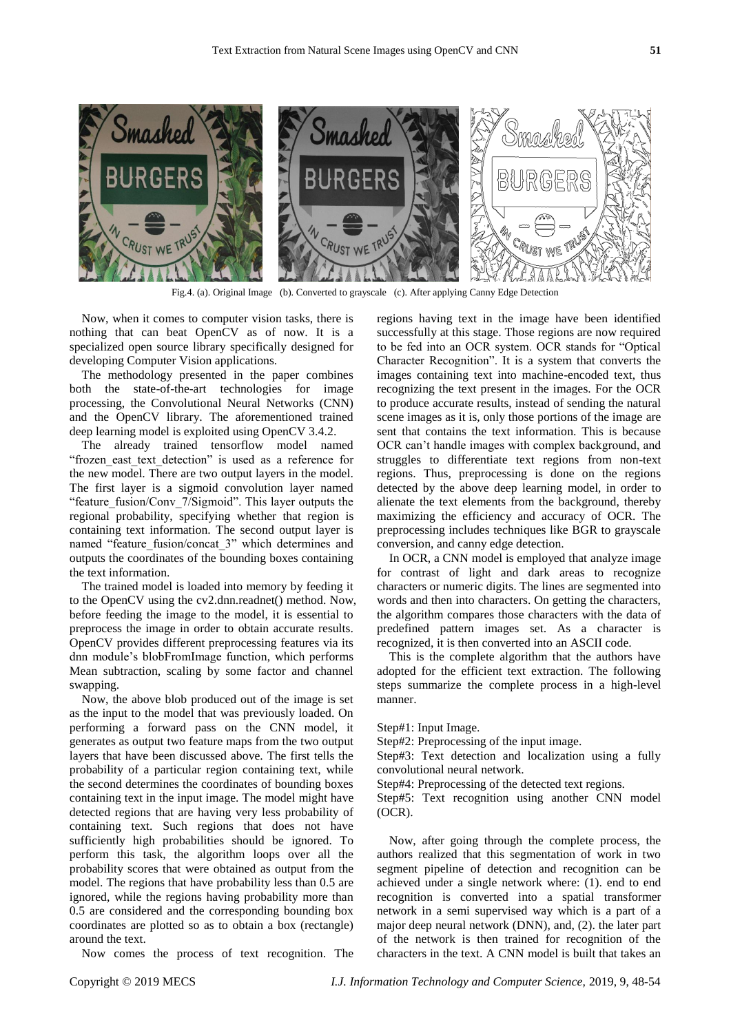

Fig.4. (a). Original Image (b). Converted to grayscale (c). After applying Canny Edge Detection

Now, when it comes to computer vision tasks, there is nothing that can beat OpenCV as of now. It is a specialized open source library specifically designed for developing Computer Vision applications.

The methodology presented in the paper combines both the state-of-the-art technologies for image processing, the Convolutional Neural Networks (CNN) and the OpenCV library. The aforementioned trained deep learning model is exploited using OpenCV 3.4.2.

The already trained tensorflow model named "frozen\_east\_text\_detection" is used as a reference for the new model. There are two output layers in the model. The first layer is a sigmoid convolution layer named "feature\_fusion/Conv\_7/Sigmoid". This layer outputs the regional probability, specifying whether that region is containing text information. The second output layer is named "feature fusion/concat 3" which determines and outputs the coordinates of the bounding boxes containing the text information.

The trained model is loaded into memory by feeding it to the OpenCV using the cv2.dnn.readnet() method. Now, before feeding the image to the model, it is essential to preprocess the image in order to obtain accurate results. OpenCV provides different preprocessing features via its dnn module's blobFromImage function, which performs Mean subtraction, scaling by some factor and channel swapping.

Now, the above blob produced out of the image is set as the input to the model that was previously loaded. On performing a forward pass on the CNN model, it generates as output two feature maps from the two output layers that have been discussed above. The first tells the probability of a particular region containing text, while the second determines the coordinates of bounding boxes containing text in the input image. The model might have detected regions that are having very less probability of containing text. Such regions that does not have sufficiently high probabilities should be ignored. To perform this task, the algorithm loops over all the probability scores that were obtained as output from the model. The regions that have probability less than 0.5 are ignored, while the regions having probability more than 0.5 are considered and the corresponding bounding box coordinates are plotted so as to obtain a box (rectangle) around the text.

Now comes the process of text recognition. The

regions having text in the image have been identified successfully at this stage. Those regions are now required to be fed into an OCR system. OCR stands for "Optical Character Recognition". It is a system that converts the images containing text into machine-encoded text, thus recognizing the text present in the images. For the OCR to produce accurate results, instead of sending the natural scene images as it is, only those portions of the image are sent that contains the text information. This is because OCR can't handle images with complex background, and struggles to differentiate text regions from non-text regions. Thus, preprocessing is done on the regions detected by the above deep learning model, in order to alienate the text elements from the background, thereby maximizing the efficiency and accuracy of OCR. The preprocessing includes techniques like BGR to grayscale conversion, and canny edge detection.

In OCR, a CNN model is employed that analyze image for contrast of light and dark areas to recognize characters or numeric digits. The lines are segmented into words and then into characters. On getting the characters, the algorithm compares those characters with the data of predefined pattern images set. As a character is recognized, it is then converted into an ASCII code.

This is the complete algorithm that the authors have adopted for the efficient text extraction. The following steps summarize the complete process in a high-level manner.

Step#1: Input Image.

Step#2: Preprocessing of the input image.

Step#3: Text detection and localization using a fully convolutional neural network.

Step#4: Preprocessing of the detected text regions.

Step#5: Text recognition using another CNN model (OCR).

Now, after going through the complete process, the authors realized that this segmentation of work in two segment pipeline of detection and recognition can be achieved under a single network where: (1). end to end recognition is converted into a spatial transformer network in a semi supervised way which is a part of a major deep neural network (DNN), and, (2). the later part of the network is then trained for recognition of the characters in the text. A CNN model is built that takes an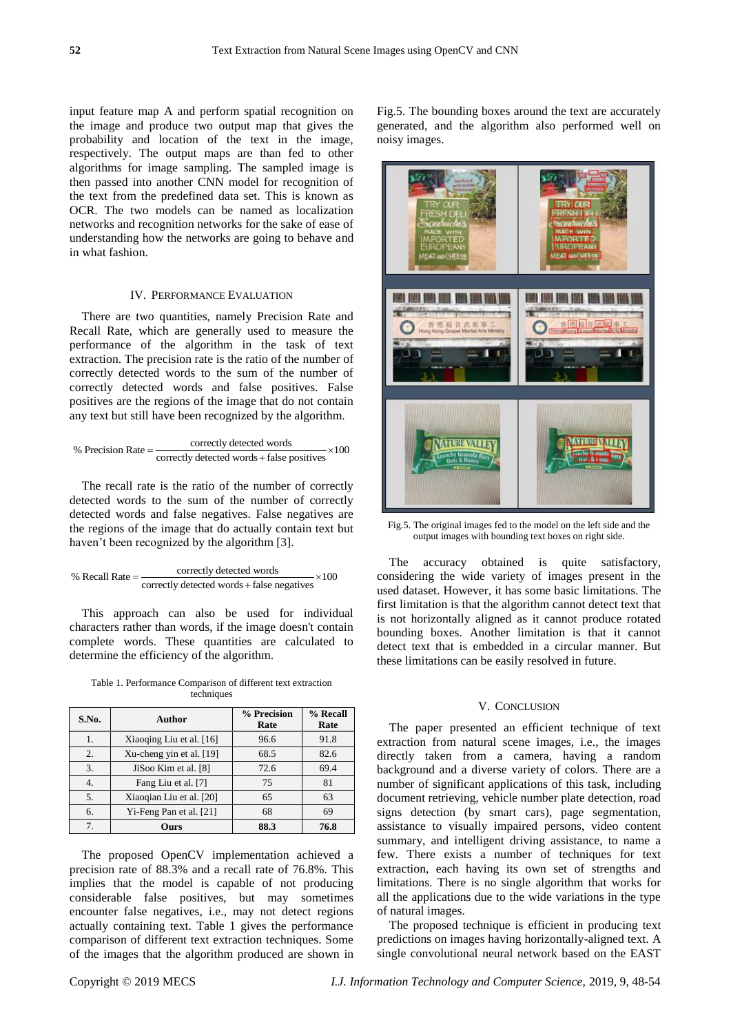input feature map A and perform spatial recognition on the image and produce two output map that gives the probability and location of the text in the image, respectively. The output maps are than fed to other algorithms for image sampling. The sampled image is then passed into another CNN model for recognition of the text from the predefined data set. This is known as OCR. The two models can be named as localization networks and recognition networks for the sake of ease of understanding how the networks are going to behave and in what fashion.

#### IV. PERFORMANCE EVALUATION

There are two quantities, namely Precision Rate and Recall Rate, which are generally used to measure the performance of the algorithm in the task of text extraction. The precision rate is the ratio of the number of correctly detected words to the sum of the number of correctly detected words and false positives. False positives are the regions of the image that do not contain

any text but still have been recognized by the algorithm. 
$$
\%
$$
 Precision Rate =  $\frac{\text{correctly detected words}}{\text{correctly detected words} + \text{false positives}} \times 100$ 

The recall rate is the ratio of the number of correctly detected words to the sum of the number of correctly detected words and false negatives. False negatives are the regions of the image that do actually contain text but haven't been recognized by the algorithm [3].

correctly detected words % Recall Rate 100 correctly detected words false negatives 

This approach can also be used for individual characters rather than words, if the image doesn't contain complete words. These quantities are calculated to determine the efficiency of the algorithm.

Table 1. Performance Comparison of different text extraction techniques

| S.No. | Author                   | % Precision<br>Rate | % Recall<br>Rate |
|-------|--------------------------|---------------------|------------------|
| 1.    | Xiaoqing Liu et al. [16] | 96.6                | 91.8             |
| 2.    | Xu-cheng yin et al. [19] | 68.5                | 82.6             |
| 3.    | JiSoo Kim et al. [8]     | 72.6                | 69.4             |
|       | Fang Liu et al. [7]      | 75                  | 81               |
| 5.    | Xiaoqian Liu et al. [20] | 65                  | 63               |
| 6.    | Yi-Feng Pan et al. [21]  | 68                  | 69               |
|       | Ours                     | 88.3                | 76.8             |

The proposed OpenCV implementation achieved a precision rate of 88.3% and a recall rate of 76.8%. This implies that the model is capable of not producing considerable false positives, but may sometimes encounter false negatives, i.e., may not detect regions actually containing text. Table 1 gives the performance comparison of different text extraction techniques. Some of the images that the algorithm produced are shown in Fig.5. The bounding boxes around the text are accurately generated, and the algorithm also performed well on noisy images.



Fig.5. The original images fed to the model on the left side and the output images with bounding text boxes on right side.

The accuracy obtained is quite satisfactory, considering the wide variety of images present in the used dataset. However, it has some basic limitations. The first limitation is that the algorithm cannot detect text that is not horizontally aligned as it cannot produce rotated bounding boxes. Another limitation is that it cannot detect text that is embedded in a circular manner. But these limitations can be easily resolved in future.

#### V. CONCLUSION

The paper presented an efficient technique of text extraction from natural scene images, i.e., the images directly taken from a camera, having a random background and a diverse variety of colors. There are a number of significant applications of this task, including document retrieving, vehicle number plate detection, road signs detection (by smart cars), page segmentation, assistance to visually impaired persons, video content summary, and intelligent driving assistance, to name a few. There exists a number of techniques for text extraction, each having its own set of strengths and limitations. There is no single algorithm that works for all the applications due to the wide variations in the type of natural images.

The proposed technique is efficient in producing text predictions on images having horizontally-aligned text. A single convolutional neural network based on the EAST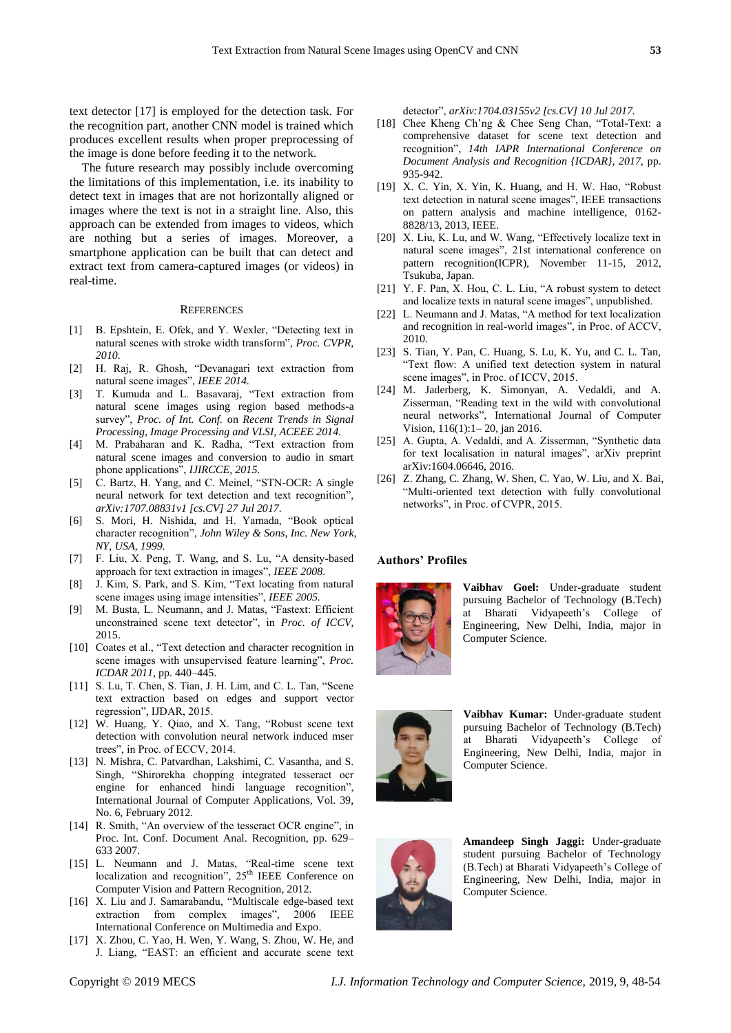text detector [17] is employed for the detection task. For the recognition part, another CNN model is trained which produces excellent results when proper preprocessing of the image is done before feeding it to the network.

The future research may possibly include overcoming the limitations of this implementation, i.e. its inability to detect text in images that are not horizontally aligned or images where the text is not in a straight line. Also, this approach can be extended from images to videos, which are nothing but a series of images. Moreover, a smartphone application can be built that can detect and extract text from camera-captured images (or videos) in real-time.

#### **REFERENCES**

- [1] B. Epshtein, E. Ofek, and Y. Wexler, "Detecting text in natural scenes with stroke width transform", *Proc. CVPR, 2010.*
- [2] H. Raj, R. Ghosh, "Devanagari text extraction from natural scene images", *IEEE 2014.*
- [3] T. Kumuda and L. Basavaraj, "Text extraction from natural scene images using region based methods-a survey", *Proc. of Int. Conf.* on *Recent Trends in Signal Processing, Image Processing and VLSI, ACEEE 2014.*
- [4] M. Prabaharan and K. Radha, "Text extraction from natural scene images and conversion to audio in smart phone applications", *IJIRCCE, 2015.*
- [5] C. Bartz, H. Yang, and C. Meinel, "STN-OCR: A single neural network for text detection and text recognition", *arXiv:1707.08831v1 [cs.CV] 27 Jul 2017.*
- [6] S. Mori, H. Nishida, and H. Yamada, "Book optical character recognition", *John Wiley & Sons, Inc. New York, NY, USA, 1999.*
- [7] F. Liu, X. Peng, T. Wang, and S. Lu, "A density-based approach for text extraction in images", *IEEE 2008*.
- [8] J. Kim, S. Park, and S. Kim, "Text locating from natural scene images using image intensities", *IEEE 2005.*
- [9] M. Busta, L. Neumann, and J. Matas, "Fastext: Efficient unconstrained scene text detector", in *Proc. of ICCV*, 2015.
- [10] Coates et al., "Text detection and character recognition in scene images with unsupervised feature learning", *Proc. ICDAR 2011*, pp. 440–445.
- [11] S. Lu, T. Chen, S. Tian, J. H. Lim, and C. L. Tan, "Scene text extraction based on edges and support vector regression", IJDAR, 2015.
- [12] W. Huang, Y. Qiao, and X. Tang, "Robust scene text detection with convolution neural network induced mser trees", in Proc. of ECCV, 2014.
- [13] N. Mishra, C. Patvardhan, Lakshimi, C. Vasantha, and S. Singh, "Shirorekha chopping integrated tesseract ocr engine for enhanced hindi language recognition", International Journal of Computer Applications, Vol. 39, No. 6, February 2012.
- [14] R. Smith, "An overview of the tesseract OCR engine", in Proc. Int. Conf. Document Anal. Recognition, pp. 629– 633 2007.
- [15] L. Neumann and J. Matas, "Real-time scene text localization and recognition", 25<sup>th</sup> IEEE Conference on Computer Vision and Pattern Recognition, 2012.
- [16] X. Liu and J. Samarabandu, "Multiscale edge-based text extraction from complex images", 2006 IEEE International Conference on Multimedia and Expo.
- [17] X. Zhou, C. Yao, H. Wen, Y. Wang, S. Zhou, W. He, and J. Liang, "EAST: an efficient and accurate scene text

detector", *arXiv:1704.03155v2 [cs.CV] 10 Jul 2017.*

- [18] Chee Kheng Ch'ng & Chee Seng Chan, "Total-Text: a comprehensive dataset for scene text detection and recognition", *14th IAPR International Conference on Document Analysis and Recognition {ICDAR}, 2017,* pp. 935-942.
- [19] X. C. Yin, X. Yin, K. Huang, and H. W. Hao, "Robust text detection in natural scene images", IEEE transactions on pattern analysis and machine intelligence, 0162- 8828/13, 2013, IEEE.
- [20] X. Liu, K. Lu, and W. Wang, "Effectively localize text in natural scene images", 21st international conference on pattern recognition(ICPR), November 11-15, 2012, Tsukuba, Japan.
- [21] Y. F. Pan, X. Hou, C. L. Liu, "A robust system to detect and localize texts in natural scene images", unpublished.
- [22] L. Neumann and J. Matas, "A method for text localization and recognition in real-world images", in Proc. of ACCV, 2010.
- [23] S. Tian, Y. Pan, C. Huang, S. Lu, K. Yu, and C. L. Tan, "Text flow: A unified text detection system in natural scene images", in Proc. of ICCV, 2015.
- [24] M. Jaderberg, K. Simonyan, A. Vedaldi, and A. Zisserman, "Reading text in the wild with convolutional neural networks", International Journal of Computer Vision, 116(1):1– 20, jan 2016.
- [25] A. Gupta, A. Vedaldi, and A. Zisserman, "Synthetic data for text localisation in natural images", arXiv preprint arXiv:1604.06646, 2016.
- [26] Z. Zhang, C. Zhang, W. Shen, C. Yao, W. Liu, and X. Bai, "Multi-oriented text detection with fully convolutional networks", in Proc. of CVPR, 2015.

#### **Authors' Profiles**



**Vaibhav Goel:** Under-graduate student pursuing Bachelor of Technology (B.Tech) at Bharati Vidyapeeth's College of Engineering, New Delhi, India, major in Computer Science.



**Vaibhav Kumar:** Under-graduate student pursuing Bachelor of Technology (B.Tech) at Bharati Vidyapeeth's College of Engineering, New Delhi, India, major in Computer Science.



**Amandeep Singh Jaggi:** Under-graduate student pursuing Bachelor of Technology (B.Tech) at Bharati Vidyapeeth's College of Engineering, New Delhi, India, major in Computer Science.